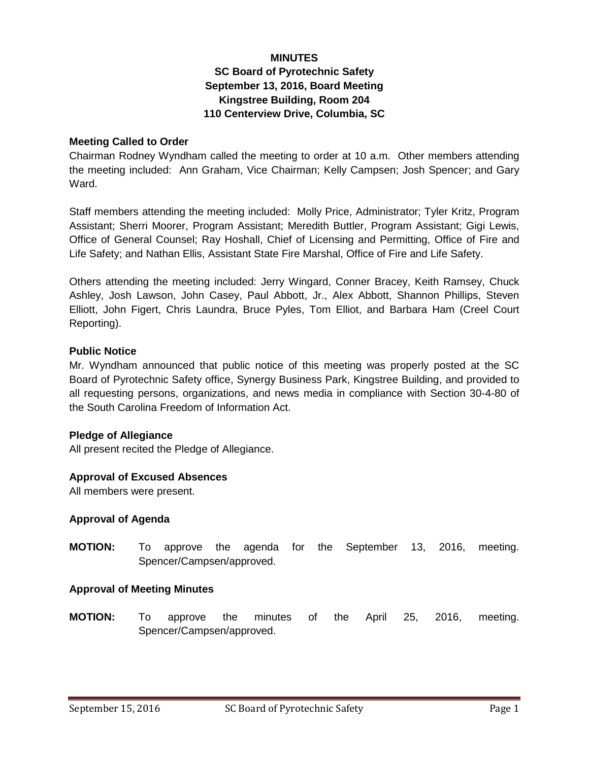#### **MINUTES**

# **SC Board of Pyrotechnic Safety September 13, 2016, Board Meeting Kingstree Building, Room 204 110 Centerview Drive, Columbia, SC**

#### **Meeting Called to Order**

Chairman Rodney Wyndham called the meeting to order at 10 a.m. Other members attending the meeting included: Ann Graham, Vice Chairman; Kelly Campsen; Josh Spencer; and Gary Ward.

Staff members attending the meeting included: Molly Price, Administrator; Tyler Kritz, Program Assistant; Sherri Moorer, Program Assistant; Meredith Buttler, Program Assistant; Gigi Lewis, Office of General Counsel; Ray Hoshall, Chief of Licensing and Permitting, Office of Fire and Life Safety; and Nathan Ellis, Assistant State Fire Marshal, Office of Fire and Life Safety.

Others attending the meeting included: Jerry Wingard, Conner Bracey, Keith Ramsey, Chuck Ashley, Josh Lawson, John Casey, Paul Abbott, Jr., Alex Abbott, Shannon Phillips, Steven Elliott, John Figert, Chris Laundra, Bruce Pyles, Tom Elliot, and Barbara Ham (Creel Court Reporting).

#### **Public Notice**

Mr. Wyndham announced that public notice of this meeting was properly posted at the SC Board of Pyrotechnic Safety office, Synergy Business Park, Kingstree Building, and provided to all requesting persons, organizations, and news media in compliance with Section 30-4-80 of the South Carolina Freedom of Information Act.

## **Pledge of Allegiance**

All present recited the Pledge of Allegiance.

#### **Approval of Excused Absences**

All members were present.

## **Approval of Agenda**

**MOTION:** To approve the agenda for the September 13, 2016, meeting. Spencer/Campsen/approved.

## **Approval of Meeting Minutes**

**MOTION:** To approve the minutes of the April 25, 2016, meeting. Spencer/Campsen/approved.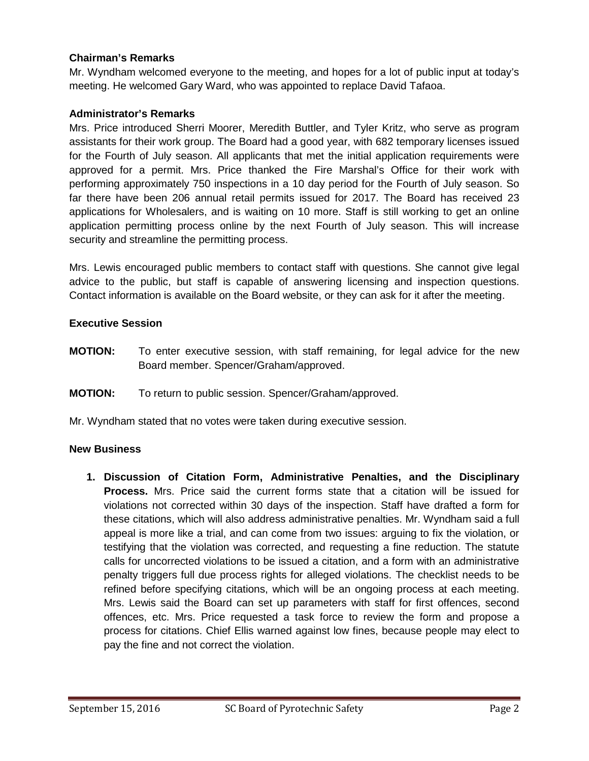## **Chairman's Remarks**

Mr. Wyndham welcomed everyone to the meeting, and hopes for a lot of public input at today's meeting. He welcomed Gary Ward, who was appointed to replace David Tafaoa.

## **Administrator's Remarks**

Mrs. Price introduced Sherri Moorer, Meredith Buttler, and Tyler Kritz, who serve as program assistants for their work group. The Board had a good year, with 682 temporary licenses issued for the Fourth of July season. All applicants that met the initial application requirements were approved for a permit. Mrs. Price thanked the Fire Marshal's Office for their work with performing approximately 750 inspections in a 10 day period for the Fourth of July season. So far there have been 206 annual retail permits issued for 2017. The Board has received 23 applications for Wholesalers, and is waiting on 10 more. Staff is still working to get an online application permitting process online by the next Fourth of July season. This will increase security and streamline the permitting process.

Mrs. Lewis encouraged public members to contact staff with questions. She cannot give legal advice to the public, but staff is capable of answering licensing and inspection questions. Contact information is available on the Board website, or they can ask for it after the meeting.

## **Executive Session**

- **MOTION:** To enter executive session, with staff remaining, for legal advice for the new Board member. Spencer/Graham/approved.
- **MOTION:** To return to public session. Spencer/Graham/approved.

Mr. Wyndham stated that no votes were taken during executive session.

## **New Business**

**1. Discussion of Citation Form, Administrative Penalties, and the Disciplinary Process.** Mrs. Price said the current forms state that a citation will be issued for violations not corrected within 30 days of the inspection. Staff have drafted a form for these citations, which will also address administrative penalties. Mr. Wyndham said a full appeal is more like a trial, and can come from two issues: arguing to fix the violation, or testifying that the violation was corrected, and requesting a fine reduction. The statute calls for uncorrected violations to be issued a citation, and a form with an administrative penalty triggers full due process rights for alleged violations. The checklist needs to be refined before specifying citations, which will be an ongoing process at each meeting. Mrs. Lewis said the Board can set up parameters with staff for first offences, second offences, etc. Mrs. Price requested a task force to review the form and propose a process for citations. Chief Ellis warned against low fines, because people may elect to pay the fine and not correct the violation.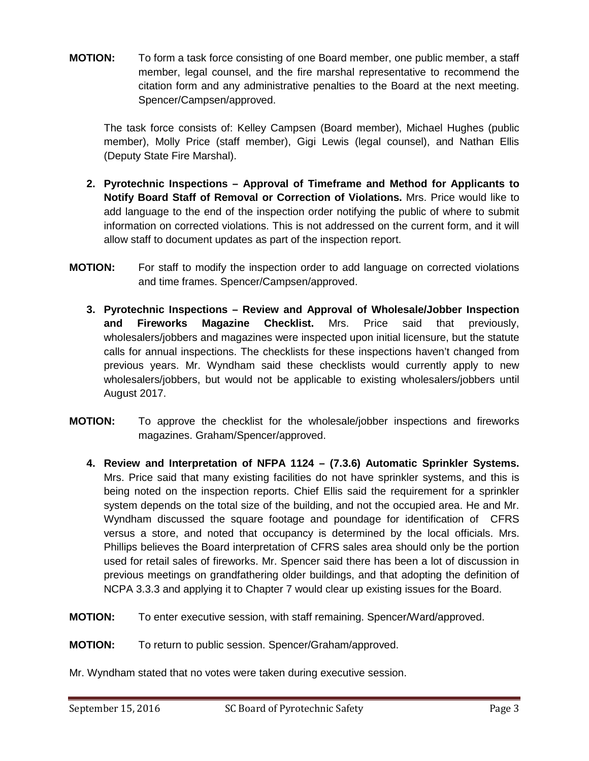**MOTION:** To form a task force consisting of one Board member, one public member, a staff member, legal counsel, and the fire marshal representative to recommend the citation form and any administrative penalties to the Board at the next meeting. Spencer/Campsen/approved.

The task force consists of: Kelley Campsen (Board member), Michael Hughes (public member), Molly Price (staff member), Gigi Lewis (legal counsel), and Nathan Ellis (Deputy State Fire Marshal).

- **2. Pyrotechnic Inspections Approval of Timeframe and Method for Applicants to Notify Board Staff of Removal or Correction of Violations.** Mrs. Price would like to add language to the end of the inspection order notifying the public of where to submit information on corrected violations. This is not addressed on the current form, and it will allow staff to document updates as part of the inspection report.
- **MOTION:** For staff to modify the inspection order to add language on corrected violations and time frames. Spencer/Campsen/approved.
	- **3. Pyrotechnic Inspections Review and Approval of Wholesale/Jobber Inspection and Fireworks Magazine Checklist.** Mrs. Price said that previously, wholesalers/jobbers and magazines were inspected upon initial licensure, but the statute calls for annual inspections. The checklists for these inspections haven't changed from previous years. Mr. Wyndham said these checklists would currently apply to new wholesalers/jobbers, but would not be applicable to existing wholesalers/jobbers until August 2017.
- **MOTION:** To approve the checklist for the wholesale/jobber inspections and fireworks magazines. Graham/Spencer/approved.
	- **4. Review and Interpretation of NFPA 1124 (7.3.6) Automatic Sprinkler Systems.** Mrs. Price said that many existing facilities do not have sprinkler systems, and this is being noted on the inspection reports. Chief Ellis said the requirement for a sprinkler system depends on the total size of the building, and not the occupied area. He and Mr. Wyndham discussed the square footage and poundage for identification of CFRS versus a store, and noted that occupancy is determined by the local officials. Mrs. Phillips believes the Board interpretation of CFRS sales area should only be the portion used for retail sales of fireworks. Mr. Spencer said there has been a lot of discussion in previous meetings on grandfathering older buildings, and that adopting the definition of NCPA 3.3.3 and applying it to Chapter 7 would clear up existing issues for the Board.
- **MOTION:** To enter executive session, with staff remaining. Spencer/Ward/approved.

**MOTION:** To return to public session. Spencer/Graham/approved.

Mr. Wyndham stated that no votes were taken during executive session.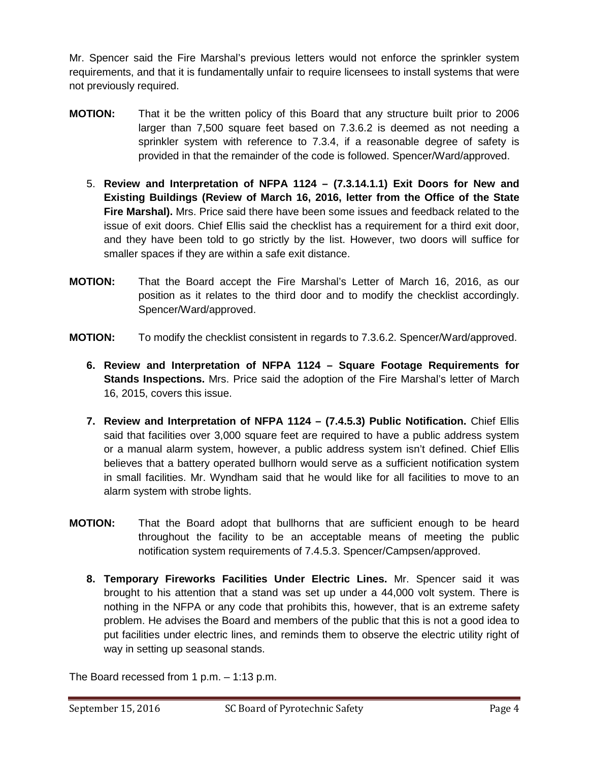Mr. Spencer said the Fire Marshal's previous letters would not enforce the sprinkler system requirements, and that it is fundamentally unfair to require licensees to install systems that were not previously required.

- **MOTION:** That it be the written policy of this Board that any structure built prior to 2006 larger than 7,500 square feet based on 7.3.6.2 is deemed as not needing a sprinkler system with reference to 7.3.4, if a reasonable degree of safety is provided in that the remainder of the code is followed. Spencer/Ward/approved.
	- 5. **Review and Interpretation of NFPA 1124 (7.3.14.1.1) Exit Doors for New and Existing Buildings (Review of March 16, 2016, letter from the Office of the State Fire Marshal).** Mrs. Price said there have been some issues and feedback related to the issue of exit doors. Chief Ellis said the checklist has a requirement for a third exit door, and they have been told to go strictly by the list. However, two doors will suffice for smaller spaces if they are within a safe exit distance.
- **MOTION:** That the Board accept the Fire Marshal's Letter of March 16, 2016, as our position as it relates to the third door and to modify the checklist accordingly. Spencer/Ward/approved.
- **MOTION:** To modify the checklist consistent in regards to 7.3.6.2. Spencer/Ward/approved.
	- **6. Review and Interpretation of NFPA 1124 Square Footage Requirements for Stands Inspections.** Mrs. Price said the adoption of the Fire Marshal's letter of March 16, 2015, covers this issue.
	- **7. Review and Interpretation of NFPA 1124 (7.4.5.3) Public Notification.** Chief Ellis said that facilities over 3,000 square feet are required to have a public address system or a manual alarm system, however, a public address system isn't defined. Chief Ellis believes that a battery operated bullhorn would serve as a sufficient notification system in small facilities. Mr. Wyndham said that he would like for all facilities to move to an alarm system with strobe lights.
- **MOTION:** That the Board adopt that bullhorns that are sufficient enough to be heard throughout the facility to be an acceptable means of meeting the public notification system requirements of 7.4.5.3. Spencer/Campsen/approved.
	- **8. Temporary Fireworks Facilities Under Electric Lines.** Mr. Spencer said it was brought to his attention that a stand was set up under a 44,000 volt system. There is nothing in the NFPA or any code that prohibits this, however, that is an extreme safety problem. He advises the Board and members of the public that this is not a good idea to put facilities under electric lines, and reminds them to observe the electric utility right of way in setting up seasonal stands.

The Board recessed from 1 p.m. – 1:13 p.m.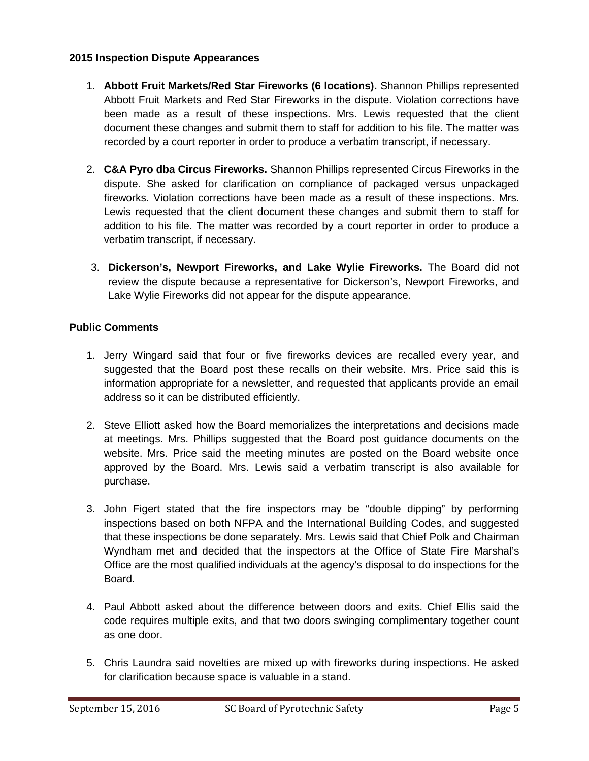## **2015 Inspection Dispute Appearances**

- 1. **Abbott Fruit Markets/Red Star Fireworks (6 locations).** Shannon Phillips represented Abbott Fruit Markets and Red Star Fireworks in the dispute. Violation corrections have been made as a result of these inspections. Mrs. Lewis requested that the client document these changes and submit them to staff for addition to his file. The matter was recorded by a court reporter in order to produce a verbatim transcript, if necessary.
- 2. **C&A Pyro dba Circus Fireworks.** Shannon Phillips represented Circus Fireworks in the dispute. She asked for clarification on compliance of packaged versus unpackaged fireworks. Violation corrections have been made as a result of these inspections. Mrs. Lewis requested that the client document these changes and submit them to staff for addition to his file. The matter was recorded by a court reporter in order to produce a verbatim transcript, if necessary.
- 3. **Dickerson's, Newport Fireworks, and Lake Wylie Fireworks.** The Board did not review the dispute because a representative for Dickerson's, Newport Fireworks, and Lake Wylie Fireworks did not appear for the dispute appearance.

# **Public Comments**

- 1. Jerry Wingard said that four or five fireworks devices are recalled every year, and suggested that the Board post these recalls on their website. Mrs. Price said this is information appropriate for a newsletter, and requested that applicants provide an email address so it can be distributed efficiently.
- 2. Steve Elliott asked how the Board memorializes the interpretations and decisions made at meetings. Mrs. Phillips suggested that the Board post guidance documents on the website. Mrs. Price said the meeting minutes are posted on the Board website once approved by the Board. Mrs. Lewis said a verbatim transcript is also available for purchase.
- 3. John Figert stated that the fire inspectors may be "double dipping" by performing inspections based on both NFPA and the International Building Codes, and suggested that these inspections be done separately. Mrs. Lewis said that Chief Polk and Chairman Wyndham met and decided that the inspectors at the Office of State Fire Marshal's Office are the most qualified individuals at the agency's disposal to do inspections for the Board.
- 4. Paul Abbott asked about the difference between doors and exits. Chief Ellis said the code requires multiple exits, and that two doors swinging complimentary together count as one door.
- 5. Chris Laundra said novelties are mixed up with fireworks during inspections. He asked for clarification because space is valuable in a stand.